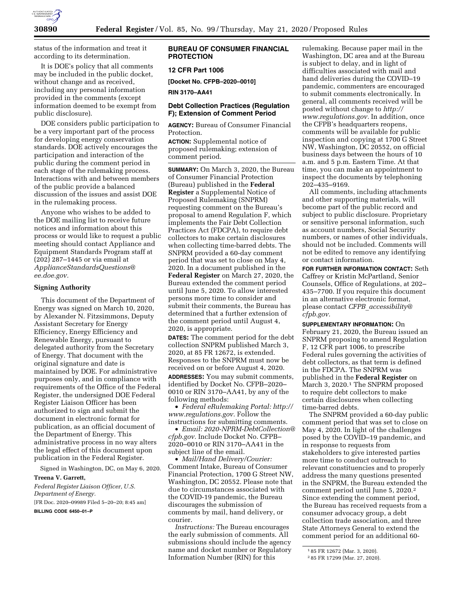

status of the information and treat it according to its determination.

It is DOE's policy that all comments may be included in the public docket, without change and as received, including any personal information provided in the comments (except information deemed to be exempt from public disclosure).

DOE considers public participation to be a very important part of the process for developing energy conservation standards. DOE actively encourages the participation and interaction of the public during the comment period in each stage of the rulemaking process. Interactions with and between members of the public provide a balanced discussion of the issues and assist DOE in the rulemaking process.

Anyone who wishes to be added to the DOE mailing list to receive future notices and information about this process or would like to request a public meeting should contact Appliance and Equipment Standards Program staff at (202) 287–1445 or via email at *[ApplianceStandardsQuestions@](mailto:ApplianceStandardsQuestions@ee.doe.gov) [ee.doe.gov.](mailto:ApplianceStandardsQuestions@ee.doe.gov)* 

## **Signing Authority**

This document of the Department of Energy was signed on March 10, 2020, by Alexander N. Fitzsimmons, Deputy Assistant Secretary for Energy Efficiency, Energy Efficiency and Renewable Energy, pursuant to delegated authority from the Secretary of Energy. That document with the original signature and date is maintained by DOE. For administrative purposes only, and in compliance with requirements of the Office of the Federal Register, the undersigned DOE Federal Register Liaison Officer has been authorized to sign and submit the document in electronic format for publication, as an official document of the Department of Energy. This administrative process in no way alters the legal effect of this document upon publication in the Federal Register.

Signed in Washington, DC, on May 6, 2020. **Treena V. Garrett,** 

*Federal Register Liaison Officer, U.S. Department of Energy.* 

[FR Doc. 2020–09989 Filed 5–20–20; 8:45 am]

**BILLING CODE 6450–01–P** 

## **BUREAU OF CONSUMER FINANCIAL PROTECTION**

# **12 CFR Part 1006**

**[Docket No. CFPB–2020–0010]** 

**RIN 3170–AA41** 

# **Debt Collection Practices (Regulation F); Extension of Comment Period**

**AGENCY:** Bureau of Consumer Financial Protection.

**ACTION:** Supplemental notice of proposed rulemaking; extension of comment period.

**SUMMARY:** On March 3, 2020, the Bureau of Consumer Financial Protection (Bureau) published in the **Federal Register** a Supplemental Notice of Proposed Rulemaking (SNPRM) requesting comment on the Bureau's proposal to amend Regulation F, which implements the Fair Debt Collection Practices Act (FDCPA), to require debt collectors to make certain disclosures when collecting time-barred debts. The SNPRM provided a 60-day comment period that was set to close on May 4, 2020. In a document published in the **Federal Register** on March 27, 2020, the Bureau extended the comment period until June 5, 2020. To allow interested persons more time to consider and submit their comments, the Bureau has determined that a further extension of the comment period until August 4, 2020, is appropriate.

**DATES:** The comment period for the debt collection SNPRM published March 3, 2020, at 85 FR 12672, is extended. Responses to the SNPRM must now be received on or before August 4, 2020.

**ADDRESSES:** You may submit comments, identified by Docket No. CFPB–2020– 0010 or RIN 3170–AA41, by any of the following methods:

• *Federal eRulemaking Portal: [http://](http://www.regulations.gov)  [www.regulations.gov.](http://www.regulations.gov)* Follow the instructions for submitting comments.

• *Email: [2020-NPRM-DebtCollection@](mailto:2020-NPRM-DebtCollection@cfpb.gov) [cfpb.gov.](mailto:2020-NPRM-DebtCollection@cfpb.gov)* Include Docket No. CFPB– 2020–0010 or RIN 3170–AA41 in the subject line of the email.

• *Mail/Hand Delivery/Courier:*  Comment Intake, Bureau of Consumer Financial Protection, 1700 G Street NW, Washington, DC 20552. Please note that due to circumstances associated with the COVID-19 pandemic, the Bureau discourages the submission of comments by mail, hand delivery, or courier.

*Instructions:* The Bureau encourages the early submission of comments. All submissions should include the agency name and docket number or Regulatory Information Number (RIN) for this

rulemaking. Because paper mail in the Washington, DC area and at the Bureau is subject to delay, and in light of difficulties associated with mail and hand deliveries during the COVID–19 pandemic, commenters are encouraged to submit comments electronically. In general, all comments received will be posted without change to *[http://](http://www.regulations.gov) [www.regulations.gov.](http://www.regulations.gov)* In addition, once the CFPB's headquarters reopens, comments will be available for public inspection and copying at 1700 G Street NW, Washington, DC 20552, on official business days between the hours of 10 a.m. and 5 p.m. Eastern Time. At that time, you can make an appointment to inspect the documents by telephoning 202–435–9169.

All comments, including attachments and other supporting materials, will become part of the public record and subject to public disclosure. Proprietary or sensitive personal information, such as account numbers, Social Security numbers, or names of other individuals, should not be included. Comments will not be edited to remove any identifying or contact information.

**FOR FURTHER INFORMATION CONTACT:** Seth Caffrey or Kristin McPartland, Senior Counsels, Office of Regulations, at 202– 435–7700. If you require this document in an alternative electronic format, please contact *CFPB*\_*[accessibility@](mailto:CFPB_accessibility@cfpb.gov) [cfpb.gov.](mailto:CFPB_accessibility@cfpb.gov)* 

**SUPPLEMENTARY INFORMATION:** On February 21, 2020, the Bureau issued an SNPRM proposing to amend Regulation F, 12 CFR part 1006, to prescribe Federal rules governing the activities of debt collectors, as that term is defined in the FDCPA. The SNPRM was published in the **Federal Register** on March 3, 2020.1 The SNPRM proposed to require debt collectors to make certain disclosures when collecting time-barred debts.

The SNPRM provided a 60-day public comment period that was set to close on May 4, 2020. In light of the challenges posed by the COVID–19 pandemic, and in response to requests from stakeholders to give interested parties more time to conduct outreach to relevant constituencies and to properly address the many questions presented in the SNPRM, the Bureau extended the comment period until June 5, 2020.2 Since extending the comment period, the Bureau has received requests from a consumer advocacy group, a debt collection trade association, and three State Attorneys General to extend the comment period for an additional 60-

<sup>1</sup> 85 FR 12672 (Mar. 3, 2020).

<sup>2</sup> 85 FR 17299 (Mar. 27, 2020).